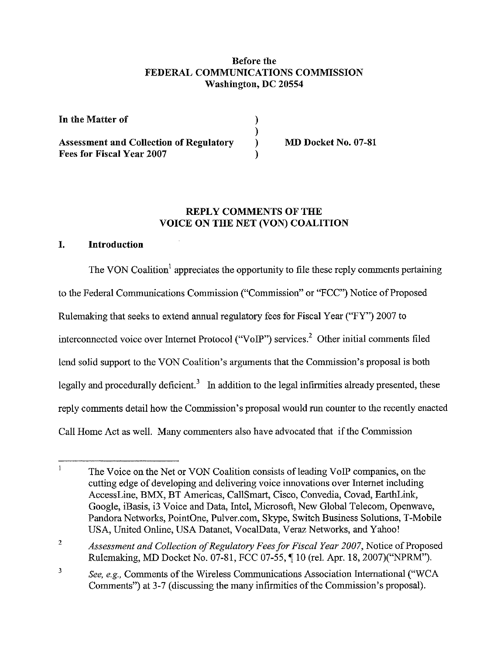### Before the FEDERAL COMMUNICATIONS COMMISSION Washington, DC 20554

) ) ) )

| In the Matter of                                                            |  |
|-----------------------------------------------------------------------------|--|
| <b>Assessment and Collection of Regulatory</b><br>Fees for Fiscal Year 2007 |  |

MD Docket No. 07-81

### REPLY COMMENTS OF THE VOICE ON THE NET (VON) COALITION

## I. Introduction

The VON Coalition<sup>1</sup> appreciates the opportunity to file these reply comments pertaining to the Federal Communications Commission ("Commission" or "FCC") Notice of Proposed Rulemaking that seeks to extend annual regulatory fees for Fiscal Year ("FY") 2007 to interconnected voice over Internet Protocol ("VoIP") services.' Other initial comments filed lend solid support to the VON Coalition's arguments that the Commission's proposal is both legally and procedurally deficient.<sup>3</sup> In addition to the legal infirmities already presented, these reply comments detail how the Commission's proposal would run counter to the recently enacted Call Home Act as well. Many commenters also have advocated that if the Commission

 $\mathbf{1}$ The Voice on the Net or VON Coalition consists of leading VoIP companies, on the cutting edge of developing and delivering voice innovations over Internet including Accessl.ine, BMX, BT Americas, CallSmart, Cisco, Convedia, Covad, EarthLink, Google, iBasis, i3 Voice and Data, Intel, Microsoft, New Global Telecom, Openwave, Pandora Networks, PointOne, Pulver.com, Skype, Switch Business Solutions, T-Mobile USA, United Online, USA Datanet, VocalData, Veraz Networks, and Yahoo!

<sup>2</sup> Assessment and Collection of Regulatory Fees for Fiscal Year 2007, Notice of Proposed Rulemaking, MD Docket No. 07-81, FCC 07-55, ¶ 10 (rel. Apr. 18, 2007)("NPRM").

<sup>3</sup> *See, e.g.,* Comments of the Wireless Communications Association International ("WCA Comments") at 3-7 (discussing the many infirmities of the Commission's proposal).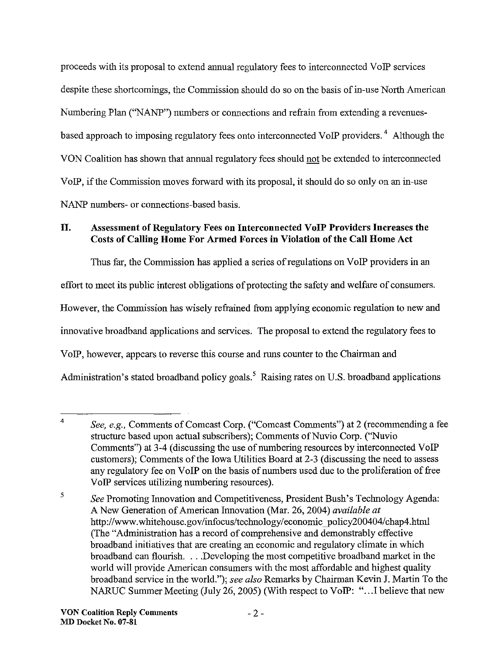proceeds with its proposal to extend annual regulatory fees to interconnected VoIP services despite these shortcomings, the Commission should do so on the basis of in-use North American Numbering Plan ("NANP") numbers or connections and refrain from extending a revenuesbased approach to imposing regulatory fees onto interconnected VoIP providers. <sup>4</sup> Although the VON Coalition has shown that annual regulatory fees should not be extended to interconnected VoIP, if the Commission moves forward with its proposal, it should do so only on an in-use NANP numbers- or connections-based basis.

# II. Assessment of Regulatory Fees on Interconnected VoIP Providers Increases the Costs of Calling Home For Armed Forces in Violation of the Call Home Act

Thus far, the Commission has applied a series of regulations on VoIP providers in an effort to meet its public interest obligations of protecting the safety and welfare of consumers. However, the Commission has wisely refrained from applying economic regulation to new and innovative broadband applications and services, The proposal to extend the regulatory fees to VoIP, however, appears to reverse this course and runs counter to the Chairman and Administration's stated broadband policy goals.<sup>5</sup> Raising rates on U.S. broadband applications

<sup>4</sup> *See, e.g.,* Comments of Comcast Corp. ("Comcast Comments") at 2 (recommending a fee structure based upon actual subscribers); Comments of Nuvio Corp. ("Nuvio Comments") at 3-4 (discussing the use of numbering resources by interconnected VoIP customers); Comments of the Iowa Utilities Board at 2-3 (discussing the need to assess any regulatory fee on VoIP on the basis of numbers used due to the proliferation of free VoIP services utilizing numbering resources).

<sup>5</sup> *See* Promoting Innovation and Competitiveness, President Bush's Technology Agenda: A New Generation of American Innovation (Mar. 26, 2004) *available at* http://www.whitehouse.gov/infocus/technology/economic policy200404/chap4.html (The "Administration has a record of comprehensive and demonstrably effective broadband initiatives that are creating an economic and regulatory climate in which broadband can flourish. . ..Developing the most competitive broadband market in the world will provide American consumers with the most affordable and highest quality broadband service in the world."); *see also* Remarks by Chairman Kevin J. Martin To the NARUC Summer Meeting (July 26, 2005) (With respect to VoIP: "...I believe that new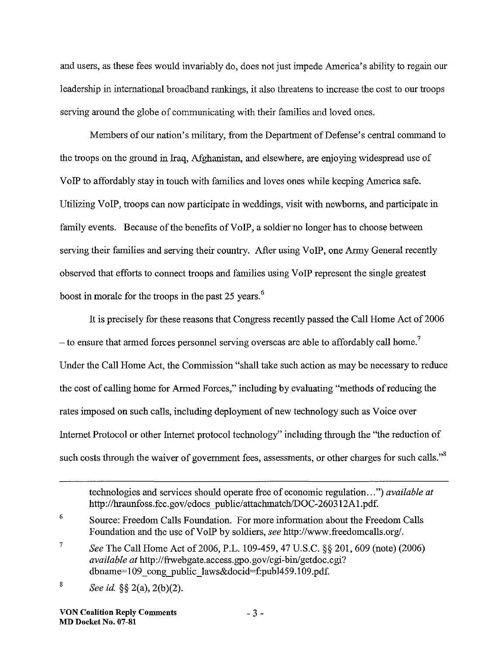and users, as these fees would invariably do, does not just impede America's ability to regain our leadership in international broadband rankings, it also threatens to increase the cost to our troops serving around the globe of communicating with their families and loved ones.

Members of our nation's military, from the Department of Defense's central command to the troops on the ground in Iraq, Afghanistan, and elsewhere, are enjoying widespread use of VoIP to affordably stay in touch with families and loves ones while keeping America safe. Utilizing VoIP, troops can now participate in weddings, visit with newborns, and participate in family events. Because of the benefits of VoIP, a soldier no longer has to choose between serving their families and serving their country. After using VoIP, one Army General recently observed that efforts to connect troops and families using VoIP represent the single greatest boost in morale for the troops in the past 25 years.<sup>6</sup>

It is precisely for these reasons that Congress recently passed the Call Home Act of 2006  $-$  to ensure that armed forces personnel serving overseas are able to affordably call home.<sup>7</sup> Under the Call Home Act, the Commission "shall take such action as may be necessary to reduce the cost of calling home for Armed Forces," including by evaluating "methods ofreducing the rates imposed on such calls, including deployment of new technology such as Voice over Internet Protocol or other Internet protocol technology" including through the "the reduction of such costs through the waiver of government fees, assessments, or other charges for such calls."<sup>8</sup>

technologies and services should operate free of economic regulation...") *available at* http://hraunfoss.fcc.gov/edocs\_public/attachmatch/DOC-260312A1.pdf.

<sup>6</sup> Source: Freedom Calls Foundation. For more information about the Freedom Calls Foundation and the use ofVoIP by soldiers, *see* http://www.freedomcalls.org/.

<sup>7</sup> *See* The Call Home Act of 2006, P.L. 109-459, 47 U.S.C. §§ 201, 609 (note) (2006) *available at* http://frwebgate.access.gpo.gov/cgi-bin/getdoc.cgi? dbname=109\_cong\_public\_laws&docid=f:publ459.109.pdf.

<sup>8</sup> *See id.* §§ 2(a), 2(b)(2).

VON Coalition Reply Comments MD Docket No. 07-81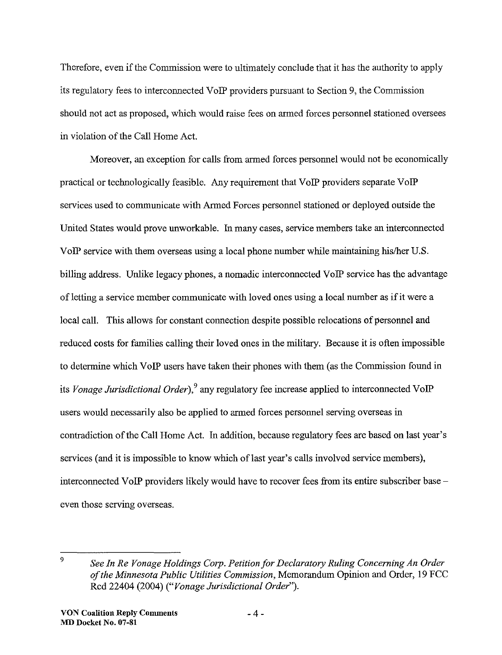Therefore, even ifthe Commission were to ultimately conclude that it has the authority to apply its regulatory fees to interconnected VoIP providers pursuant to Section 9, the Commission should not act as proposed, which would raise fees on armed forces personnel stationed oversees in violation of the Call Home Act.

Moreover, an exception for calls from armed forces personnel would not be economically practical or technologically feasible. Any requirement that VoIP providers separate VoIP services used to communicate with Armed Forces personnel stationed or deployed outside the United States would prove unworkable. In many cases, service members take an interconnected VoIP service with them overseas using a local phone number while maintaining hislher U.S. billing address. Unlike legacy phones, a nomadic interconnected VoIP service has the advantage of letting a service member communicate with loved ones using a local number as if it were a local call. This allows for constant connection despite possible relocations of personnel and reduced costs for families calling their loved ones in the military. Because it is often impossible to determine which VoIP users have taken their phones with them (as the Commission found in its *Vonage Jurisdictional Order),9* any regulatory fee increase applied to interconnected VoIP users would necessarily also be applied to armed forces personnel serving overseas in contradiction of the Call Home Act. In addition, because regulatory fees are based on last year's services (and it is impossible to know which of last year's calls involved service members), interconnected VoIP providers likely would have to recover fees fromits entire subscriber base even those serving overseas.

<sup>9</sup> *See In Re Vonage Holdings Corp. Petition for Declaratory Ruling Concerning An Order ofthe Minnesota Public Utilities Commission,* Memorandum Opinion and Order, 19 FCC Rcd 22404 (2004) *("Vonage Jurisdictional Order").*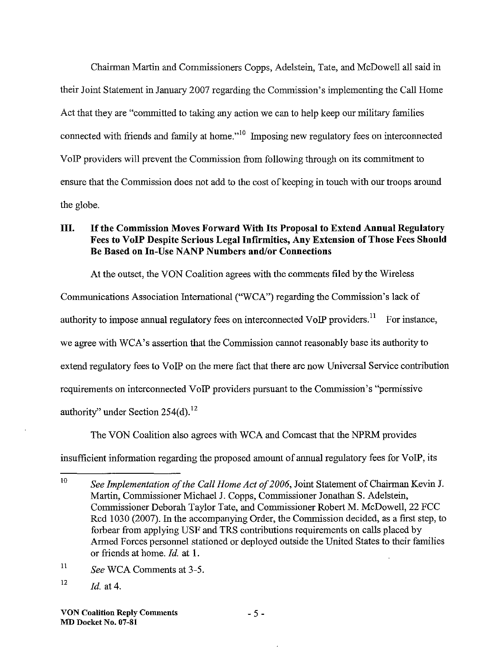Chairman Martin and Commissioners Copps, Adelstein, Tate, and McDowell all said in their Joint Statement in January 2007 regarding the Commission's implementing the Call Home Act that they are "committed to taking any action we can to help keep our military families connected with friends and family at home."<sup>10</sup> Imposing new regulatory fees on interconnected VoIP providers will prevent the Commission from following through on its commitment to ensure that the Commission does not add to the cost of keeping in touch with our troops around the globe.

# III. If the Commission Moves Forward With Its Proposal to Extend Annual Regulatory Fees to VoIP Despite Serious Legal Infirmities, Any Extension of Those Fees Should Be Based on In-Use NANP Numbers and/or Connections

At the outset, the VON Coalition agrees with the comments filed by the Wireless

Communications Association International ("WCA") regarding the Commission's lack of

authority to impose annual regulatory fees on interconnected VoIP providers.<sup>11</sup> For instance,

we agree with WCA's assertion that the Commission cannot reasonably base its authority to

extend regulatory fees to VoIP on the mere fact that there are now Universal Service contribution

requirements on interconnected VoIP providers pursuant to the Commission's "permissive

authority" under Section  $254(d)$ . <sup>12</sup>

The VON Coalition also agrees with WCA and Comcast that the NPRM provides

insufficient information regarding the proposed amount of annual regulatory fees for VoIP, its

11 *See* WCA Comments at 3-5.

<sup>10</sup> *See Implementation of the Call Home Act of 2006, Joint Statement of Chairman Kevin J.* Martin, Commissioner Michael J. Copps, Commissioner Jonathan S. Adelstein, Commissioner Deborah Taylor Tate, and Commissioner Robert M. McDowell, 22 FCC Red 1030 (2007). In the accompanying Order, the Commission decided, as a first step, to forbear from applying USF and TRS contributions requirements on calls placed by Armed Forces personnel stationed or deployed outside the United States to their families or friends at home. *Id.* at 1.

<sup>12</sup> *Id.* at 4.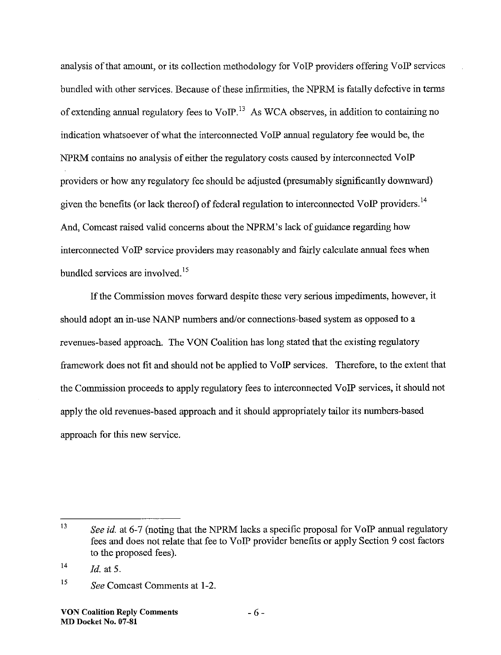analysis of that amount, or its collection methodology for VoIP providers offering VoIP services bundled with other services. Because of these infirmities, the NPRM is fatally defective in terms of extending annual regulatory fees to VoIP.<sup>13</sup> As WCA observes, in addition to containing no indication whatsoever ofwhat the interconnected VoIP annual regulatory fee would be, the NPRM contains no analysis of either the regulatory costs caused by interconnected VoIP providers or how any regulatory fee should be adjusted (presumably significantly downward) given the benefits (or lack thereof) of federal regulation to interconnected VoIP providers.<sup>14</sup> And, Comcast raised valid concerns about the NPRM's lack of guidance regarding how interconnected VoIP service providers may reasonably and fairly calculate annual fees when bundled services are involved. *IS*

If the Commission moves forward despite these very serious impediments, however, it should adopt an in-use NANP numbers and/or connections-based system as opposed to a revenues-based approach. The VON Coalition has long stated that the existing regulatory framework does not fit and should not be applied to VoIP services. Therefore, to the extent that the Commission proceeds to apply regulatory fees to interconnected VoIP services, it should not apply the old revenues-based approach and it should appropriately tailor its numbers-based approach for this new service.

<sup>13</sup> *See id.* at 6-7 (noting that the NPRM lacks a specific proposal for VoIP annual regulatory fees and does not relate that fee to VoIP provider benefits or apply Section 9 cost factors to the proposed fees).

<sup>14</sup> *ld.* at 5.

*IS See* Comcast Comments at 1-2.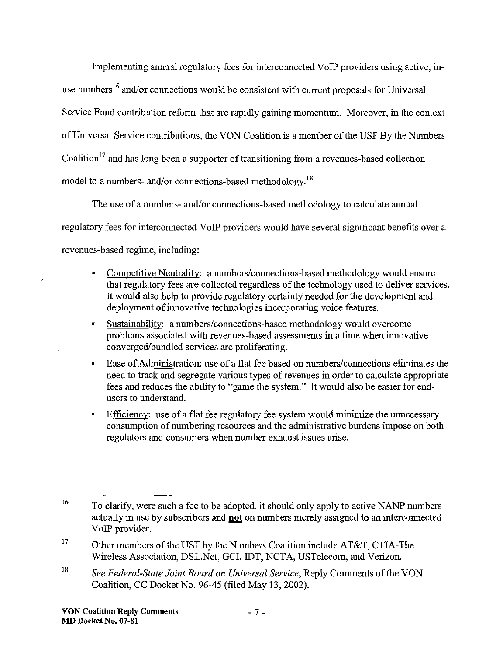Implementing annual regulatory fees for interconnected VoIP providers using active, inuse numbers<sup>16</sup> and/or connections would be consistent with current proposals for Universal Service Fund contribution reform that are rapidly gaining momentum. Moreover, in the context ofUniversal Service contributions, the VON Coalition is a member ofthe USF By the Numbers Coalition<sup>17</sup> and has long been a supporter of transitioning from a revenues-based collection model to a numbers- and/or connections-based methodology.<sup>18</sup>

The use of a numbers- and/or connections-based methodology to calculate annual regulatory fees for interconnected VoIP providers would have several significant benefits over a revenues-based regime, including:

- Competitive Neutrality: a numbers/connections-based methodology would ensure that regulatory fees are collected regardless of the technology used to deliver services. It would also help to provide regulatory certainty needed for the development and deployment of innovative technologies incorporating voice features.
- Sustainability: a numbers/connections-based methodology would overcome problems associated with revenues-based assessments in a time when innovative converged/bundled services are proliferating.
- Ease of Administration: use of a flat fee based on numbers/connections eliminates the need to track and segregate various types of revenues in order to calculate appropriate fees and reduces the ability to "game the system." It would also be easier for endusers to understand.
- Efficiency: use of a flat fee regulatory fee system would minimize the unnecessary consumption of numbering resources and the administrative burdens impose on both regulators and consumers when number exhaust issues arise.

<sup>16</sup> To clarify, were such a fee to be adopted, it should only apply to active NANP numbers actually in use by subscribers and **not** on numbers merely assigued to an interconnected VoIP provider.

<sup>17</sup> Other members of the USF by the Numbers Coalition include AT&T, CTIA-The Wireless Association, DSL.Net, GCI, IDT, NCTA, USTelecom, and Verizon.

<sup>18</sup> *See Federal-State Joint Board on Universal Service,* Reply Comments ofthe VON Coalition, CC Docket No. 96-45 (filed May 13, 2002).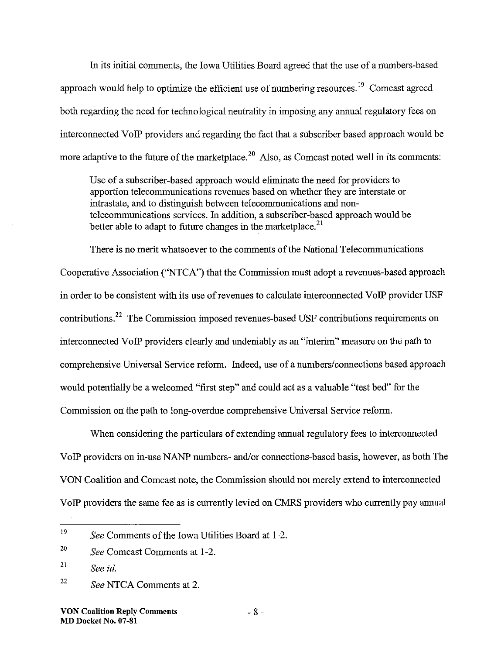In its initial connnents, the Iowa Utilities Board agreed that the use of a numbers-based approach would help to optimize the efficient use of numbering resources.<sup>19</sup> Comcast agreed both regarding the need for technological neutrality in imposing any annual regulatory fees on interconnected VoIP providers and regarding the fact that a subscriber based approach would be more adaptive to the future of the marketplace.<sup>20</sup> Also, as Comcast noted well in its comments:

Use of a subscriber-based approach would eliminate the need for providers to apportion teleconnnunications revenues based on whether they are interstate or intrastate, and to distinguish between teleconnnunications and nonteleconnnunications services. In addition, a subscriber-based approach would be better able to adapt to future changes in the marketplace. $2<sup>1</sup>$ 

There is no merit whatsoever to the comments of the National Telecommunications Cooperative Association (''NTCA'') that the Connnission must adopt a revenues-based approach in order to be consistent with its use of revenues to calculate interconnected VoIP provider USF contributions.<sup>22</sup> The Commission imposed revenues-based USF contributions requirements on interconnected VoIP providers clearly and undeniably as an "interim" measure on the path to comprehensive Universal Service reform. Indeed, use of a numbers/connections based approach would potentially be a welcomed "first step" and could act as a valuable "test bed" for the Commission on the path to long-overdue comprehensive Universal Service reform.

When considering the particulars of extending annual regulatory fees to interconnected VoIP providers on in-use NANP numbers- and/or connections-based basis, however, as both The VON Coalition and Comcast note, the Connnission should not merely extend to interconnected VoIP providers the same fee as is currently levied on CMRS providers who currently pay annual

<sup>19</sup> *See* Comments of the Iowa Utilities Board at 1-2.

<sup>20</sup> *See* Comcast Connnents at 1-2.

<sup>21</sup> *See id.*

<sup>22</sup> *See* NTCA Comments at 2.